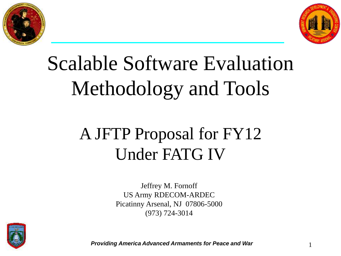



# Scalable Software Evaluation Methodology and Tools

## A JFTP Proposal for FY12 Under FATG IV

Jeffrey M. Fornoff US Army RDECOM-ARDEC Picatinny Arsenal, NJ 07806-5000 (973) 724-3014



**Providing America Advanced Armaments for Peace and War** 1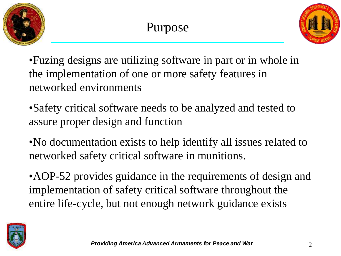



•Fuzing designs are utilizing software in part or in whole in the implementation of one or more safety features in networked environments

•Safety critical software needs to be analyzed and tested to assure proper design and function

•No documentation exists to help identify all issues related to networked safety critical software in munitions.

•AOP-52 provides guidance in the requirements of design and implementation of safety critical software throughout the entire life-cycle, but not enough network guidance exists

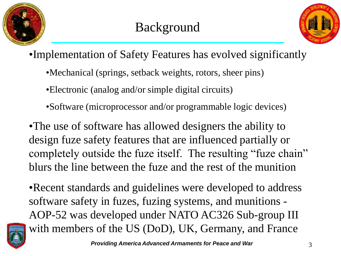



•Implementation of Safety Features has evolved significantly

•Mechanical (springs, setback weights, rotors, sheer pins)

•Electronic (analog and/or simple digital circuits)

•Software (microprocessor and/or programmable logic devices)

•The use of software has allowed designers the ability to design fuze safety features that are influenced partially or completely outside the fuze itself. The resulting "fuze chain" blurs the line between the fuze and the rest of the munition

•Recent standards and guidelines were developed to address software safety in fuzes, fuzing systems, and munitions - AOP-52 was developed under NATO AC326 Sub-group III with members of the US (DoD), UK, Germany, and France

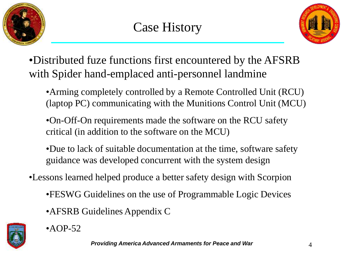



•Distributed fuze functions first encountered by the AFSRB with Spider hand-emplaced anti-personnel landmine

- •Arming completely controlled by a Remote Controlled Unit (RCU) (laptop PC) communicating with the Munitions Control Unit (MCU)
- •On-Off-On requirements made the software on the RCU safety critical (in addition to the software on the MCU)
- •Due to lack of suitable documentation at the time, software safety guidance was developed concurrent with the system design
- •Lessons learned helped produce a better safety design with Scorpion
	- •FESWG Guidelines on the use of Programmable Logic Devices
	- •AFSRB Guidelines Appendix C



 $\bullet$ AOP-52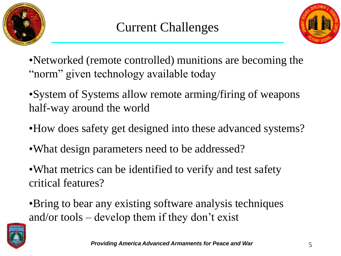



•Networked (remote controlled) munitions are becoming the "norm" given technology available today

•System of Systems allow remote arming/firing of weapons half-way around the world

- •How does safety get designed into these advanced systems?
- •What design parameters need to be addressed?

•What metrics can be identified to verify and test safety critical features?

•Bring to bear any existing software analysis techniques and/or tools – develop them if they don't exist

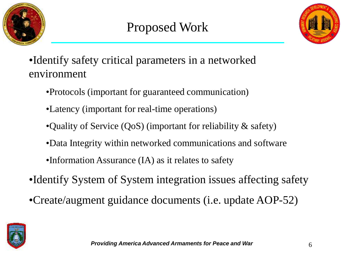



•Identify safety critical parameters in a networked environment

- •Protocols (important for guaranteed communication)
- •Latency (important for real-time operations)
- •Quality of Service (QoS) (important for reliability & safety)
- •Data Integrity within networked communications and software
- •Information Assurance (IA) as it relates to safety
- •Identify System of System integration issues affecting safety
- •Create/augment guidance documents (i.e. update AOP-52)

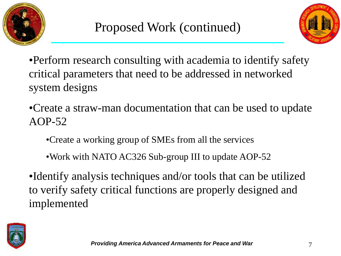



- •Perform research consulting with academia to identify safety critical parameters that need to be addressed in networked system designs
- •Create a straw-man documentation that can be used to update AOP-52
	- •Create a working group of SMEs from all the services
	- •Work with NATO AC326 Sub-group III to update AOP-52
- •Identify analysis techniques and/or tools that can be utilized to verify safety critical functions are properly designed and implemented

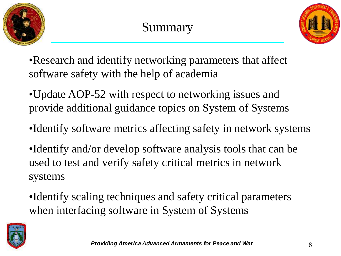



•Research and identify networking parameters that affect software safety with the help of academia

•Update AOP-52 with respect to networking issues and provide additional guidance topics on System of Systems

- •Identify software metrics affecting safety in network systems
- •Identify and/or develop software analysis tools that can be used to test and verify safety critical metrics in network systems
- •Identify scaling techniques and safety critical parameters when interfacing software in System of Systems

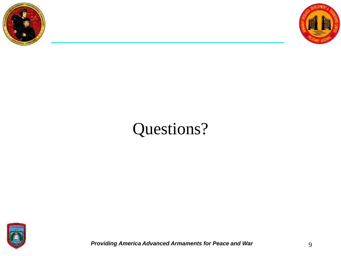



### Questions?



**Providing America Advanced Armaments for Peace and War 19 and 19 and 19 and 19 and 19 and 19 and 19 and 19 and 19 and 19 and 19 and 19 and 19 and 19 and 19 and 19 and 19 and 19 and 19 and 19 and 19 and 19 and 19 and 19**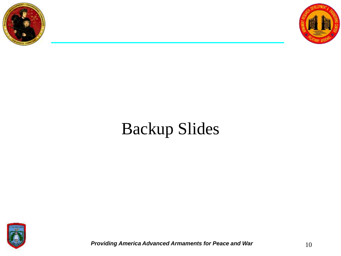



### Backup Slides



*Providing America Advanced Armaments for Peace and War* $10$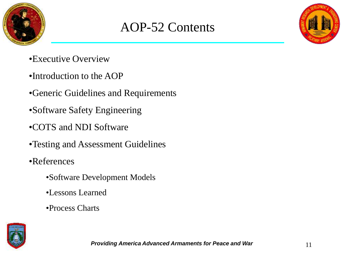

#### AOP-52 Contents

- •Executive Overview
- •Introduction to the AOP
- •Generic Guidelines and Requirements
- •Software Safety Engineering
- •COTS and NDI Software
- •Testing and Assessment Guidelines
- •References
	- •Software Development Models
	- •Lessons Learned
	- •Process Charts

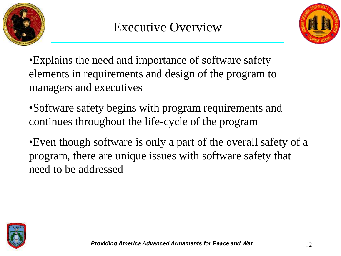



•Explains the need and importance of software safety elements in requirements and design of the program to managers and executives

•Software safety begins with program requirements and continues throughout the life-cycle of the program

•Even though software is only a part of the overall safety of a program, there are unique issues with software safety that need to be addressed

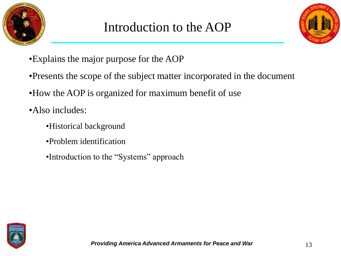



- •Explains the major purpose for the AOP
- •Presents the scope of the subject matter incorporated in the document
- •How the AOP is organized for maximum benefit of use
- •Also includes:
	- •Historical background
	- •Problem identification
	- •Introduction to the "Systems" approach

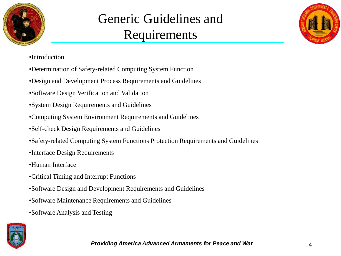

#### Generic Guidelines and Requirements



- •Introduction
- •Determination of Safety-related Computing System Function
- •Design and Development Process Requirements and Guidelines
- •Software Design Verification and Validation
- •System Design Requirements and Guidelines
- •Computing System Environment Requirements and Guidelines
- •Self-check Design Requirements and Guidelines
- •Safety-related Computing System Functions Protection Requirements and Guidelines
- •Interface Design Requirements
- •Human Interface
- •Critical Timing and Interrupt Functions
- •Software Design and Development Requirements and Guidelines
- •Software Maintenance Requirements and Guidelines
- •Software Analysis and Testing

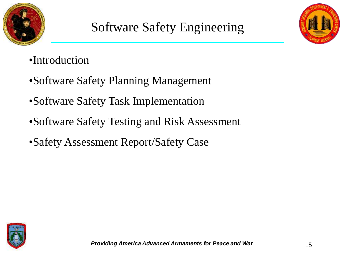



- •Introduction
- •Software Safety Planning Management
- •Software Safety Task Implementation
- •Software Safety Testing and Risk Assessment
- •Safety Assessment Report/Safety Case